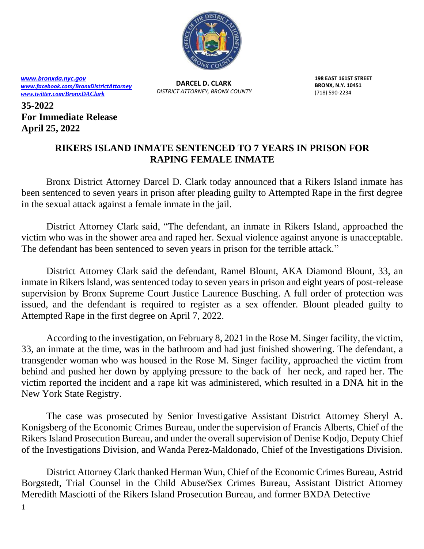

*[www.bronxda.nyc.gov](http://www.bronxda.nyc.gov/) [www.facebook.com/BronxDistrictAttorney](file://///bronxda.nycnet/shares/UNITS/PUBLIC-INFORMATION/Public-Information/2016/www.facebook.com/BronxDistrictAttorney) [www.twitter.com/BronxDAClark](file://///bronxda.nycnet/shares/UNITS/PUBLIC-INFORMATION/Public-Information/2016/www.twitter.com/BronxDAClark)*

**DARCEL D. CLARK** *DISTRICT ATTORNEY, BRONX COUNTY* **198 EAST 161ST STREET BRONX, N.Y. 10451** (718) 590-2234

**35-2022 For Immediate Release April 25, 2022**

## **RIKERS ISLAND INMATE SENTENCED TO 7 YEARS IN PRISON FOR RAPING FEMALE INMATE**

 Bronx District Attorney Darcel D. Clark today announced that a Rikers Island inmate has been sentenced to seven years in prison after pleading guilty to Attempted Rape in the first degree in the sexual attack against a female inmate in the jail.

District Attorney Clark said, "The defendant, an inmate in Rikers Island, approached the victim who was in the shower area and raped her. Sexual violence against anyone is unacceptable. The defendant has been sentenced to seven years in prison for the terrible attack."

District Attorney Clark said the defendant, Ramel Blount, AKA Diamond Blount, 33, an inmate in Rikers Island, was sentenced today to seven years in prison and eight years of post-release supervision by Bronx Supreme Court Justice Laurence Busching. A full order of protection was issued, and the defendant is required to register as a sex offender. Blount pleaded guilty to Attempted Rape in the first degree on April 7, 2022.

According to the investigation, on February 8, 2021 in the Rose M. Singer facility, the victim, 33, an inmate at the time, was in the bathroom and had just finished showering. The defendant, a transgender woman who was housed in the Rose M. Singer facility, approached the victim from behind and pushed her down by applying pressure to the back of her neck, and raped her. The victim reported the incident and a rape kit was administered, which resulted in a DNA hit in the New York State Registry.

The case was prosecuted by Senior Investigative Assistant District Attorney Sheryl A. Konigsberg of the Economic Crimes Bureau, under the supervision of Francis Alberts, Chief of the Rikers Island Prosecution Bureau, and under the overall supervision of Denise Kodjo, Deputy Chief of the Investigations Division, and Wanda Perez-Maldonado, Chief of the Investigations Division.

District Attorney Clark thanked Herman Wun, Chief of the Economic Crimes Bureau, Astrid Borgstedt, Trial Counsel in the Child Abuse/Sex Crimes Bureau, Assistant District Attorney Meredith Masciotti of the Rikers Island Prosecution Bureau, and former BXDA Detective